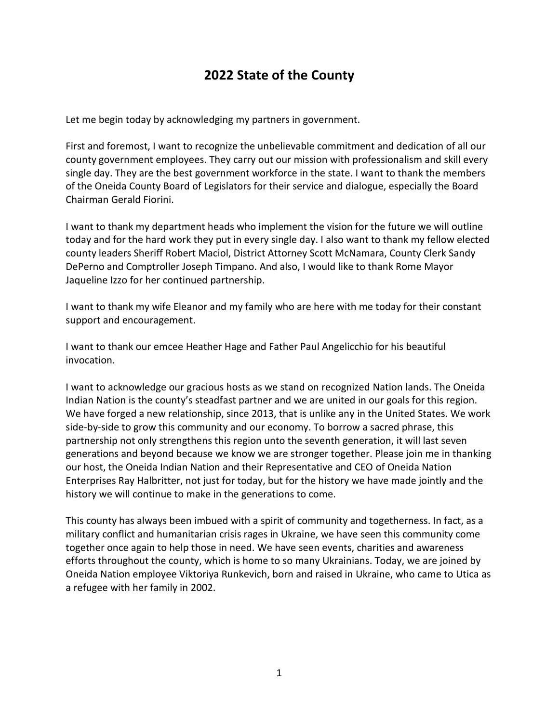## **2022 State of the County**

Let me begin today by acknowledging my partners in government.

First and foremost, I want to recognize the unbelievable commitment and dedication of all our county government employees. They carry out our mission with professionalism and skill every single day. They are the best government workforce in the state. I want to thank the members of the Oneida County Board of Legislators for their service and dialogue, especially the Board Chairman Gerald Fiorini.

I want to thank my department heads who implement the vision for the future we will outline today and for the hard work they put in every single day. I also want to thank my fellow elected county leaders Sheriff Robert Maciol, District Attorney Scott McNamara, County Clerk Sandy DePerno and Comptroller Joseph Timpano. And also, I would like to thank Rome Mayor Jaqueline Izzo for her continued partnership.

I want to thank my wife Eleanor and my family who are here with me today for their constant support and encouragement.

I want to thank our emcee Heather Hage and Father Paul Angelicchio for his beautiful invocation.

I want to acknowledge our gracious hosts as we stand on recognized Nation lands. The Oneida Indian Nation is the county's steadfast partner and we are united in our goals for this region. We have forged a new relationship, since 2013, that is unlike any in the United States. We work side-by-side to grow this community and our economy. To borrow a sacred phrase, this partnership not only strengthens this region unto the seventh generation, it will last seven generations and beyond because we know we are stronger together. Please join me in thanking our host, the Oneida Indian Nation and their Representative and CEO of Oneida Nation Enterprises Ray Halbritter, not just for today, but for the history we have made jointly and the history we will continue to make in the generations to come.

This county has always been imbued with a spirit of community and togetherness. In fact, as a military conflict and humanitarian crisis rages in Ukraine, we have seen this community come together once again to help those in need. We have seen events, charities and awareness efforts throughout the county, which is home to so many Ukrainians. Today, we are joined by Oneida Nation employee Viktoriya Runkevich, born and raised in Ukraine, who came to Utica as a refugee with her family in 2002.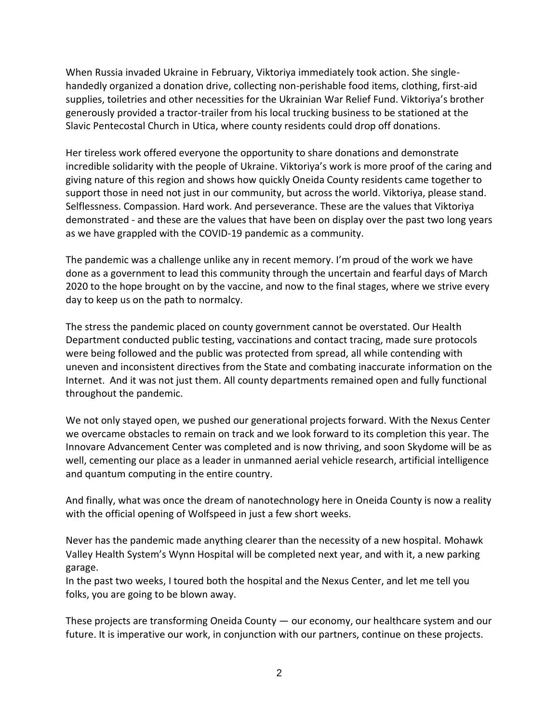When Russia invaded Ukraine in February, Viktoriya immediately took action. She singlehandedly organized a donation drive, collecting non-perishable food items, clothing, first-aid supplies, toiletries and other necessities for the Ukrainian War Relief Fund. Viktoriya's brother generously provided a tractor-trailer from his local trucking business to be stationed at the Slavic Pentecostal Church in Utica, where county residents could drop off donations.

Her tireless work offered everyone the opportunity to share donations and demonstrate incredible solidarity with the people of Ukraine. Viktoriya's work is more proof of the caring and giving nature of this region and shows how quickly Oneida County residents came together to support those in need not just in our community, but across the world. Viktoriya, please stand. Selflessness. Compassion. Hard work. And perseverance. These are the values that Viktoriya demonstrated - and these are the values that have been on display over the past two long years as we have grappled with the COVID-19 pandemic as a community.

The pandemic was a challenge unlike any in recent memory. I'm proud of the work we have done as a government to lead this community through the uncertain and fearful days of March 2020 to the hope brought on by the vaccine, and now to the final stages, where we strive every day to keep us on the path to normalcy.

The stress the pandemic placed on county government cannot be overstated. Our Health Department conducted public testing, vaccinations and contact tracing, made sure protocols were being followed and the public was protected from spread, all while contending with uneven and inconsistent directives from the State and combating inaccurate information on the Internet. And it was not just them. All county departments remained open and fully functional throughout the pandemic.

We not only stayed open, we pushed our generational projects forward. With the Nexus Center we overcame obstacles to remain on track and we look forward to its completion this year. The Innovare Advancement Center was completed and is now thriving, and soon Skydome will be as well, cementing our place as a leader in unmanned aerial vehicle research, artificial intelligence and quantum computing in the entire country.

And finally, what was once the dream of nanotechnology here in Oneida County is now a reality with the official opening of Wolfspeed in just a few short weeks.

Never has the pandemic made anything clearer than the necessity of a new hospital. Mohawk Valley Health System's Wynn Hospital will be completed next year, and with it, a new parking garage.

In the past two weeks, I toured both the hospital and the Nexus Center, and let me tell you folks, you are going to be blown away.

These projects are transforming Oneida County — our economy, our healthcare system and our future. It is imperative our work, in conjunction with our partners, continue on these projects.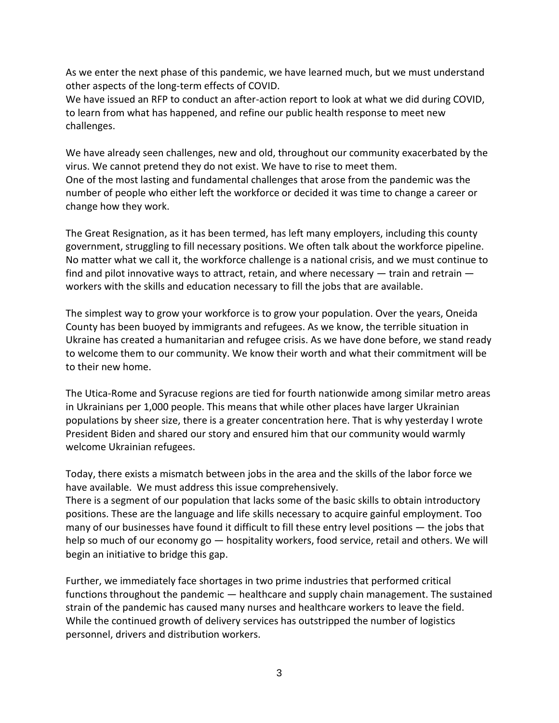As we enter the next phase of this pandemic, we have learned much, but we must understand other aspects of the long-term effects of COVID.

We have issued an RFP to conduct an after-action report to look at what we did during COVID, to learn from what has happened, and refine our public health response to meet new challenges.

We have already seen challenges, new and old, throughout our community exacerbated by the virus. We cannot pretend they do not exist. We have to rise to meet them. One of the most lasting and fundamental challenges that arose from the pandemic was the number of people who either left the workforce or decided it was time to change a career or change how they work.

The Great Resignation, as it has been termed, has left many employers, including this county government, struggling to fill necessary positions. We often talk about the workforce pipeline. No matter what we call it, the workforce challenge is a national crisis, and we must continue to find and pilot innovative ways to attract, retain, and where necessary — train and retrain workers with the skills and education necessary to fill the jobs that are available.

The simplest way to grow your workforce is to grow your population. Over the years, Oneida County has been buoyed by immigrants and refugees. As we know, the terrible situation in Ukraine has created a humanitarian and refugee crisis. As we have done before, we stand ready to welcome them to our community. We know their worth and what their commitment will be to their new home.

The Utica-Rome and Syracuse regions are tied for fourth nationwide among similar metro areas in Ukrainians per 1,000 people. This means that while other places have larger Ukrainian populations by sheer size, there is a greater concentration here. That is why yesterday I wrote President Biden and shared our story and ensured him that our community would warmly welcome Ukrainian refugees.

Today, there exists a mismatch between jobs in the area and the skills of the labor force we have available. We must address this issue comprehensively.

There is a segment of our population that lacks some of the basic skills to obtain introductory positions. These are the language and life skills necessary to acquire gainful employment. Too many of our businesses have found it difficult to fill these entry level positions — the jobs that help so much of our economy go — hospitality workers, food service, retail and others. We will begin an initiative to bridge this gap.

Further, we immediately face shortages in two prime industries that performed critical functions throughout the pandemic — healthcare and supply chain management. The sustained strain of the pandemic has caused many nurses and healthcare workers to leave the field. While the continued growth of delivery services has outstripped the number of logistics personnel, drivers and distribution workers.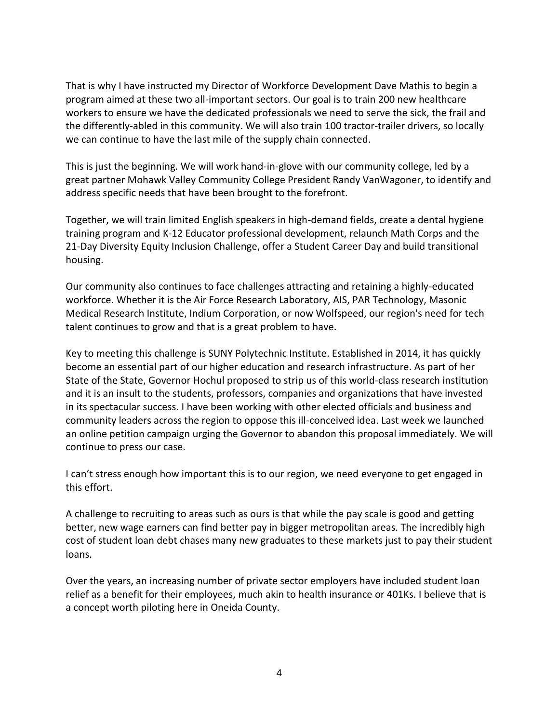That is why I have instructed my Director of Workforce Development Dave Mathis to begin a program aimed at these two all-important sectors. Our goal is to train 200 new healthcare workers to ensure we have the dedicated professionals we need to serve the sick, the frail and the differently-abled in this community. We will also train 100 tractor-trailer drivers, so locally we can continue to have the last mile of the supply chain connected.

This is just the beginning. We will work hand-in-glove with our community college, led by a great partner Mohawk Valley Community College President Randy VanWagoner, to identify and address specific needs that have been brought to the forefront.

Together, we will train limited English speakers in high-demand fields, create a dental hygiene training program and K-12 Educator professional development, relaunch Math Corps and the 21-Day Diversity Equity Inclusion Challenge, offer a Student Career Day and build transitional housing.

Our community also continues to face challenges attracting and retaining a highly-educated workforce. Whether it is the Air Force Research Laboratory, AIS, PAR Technology, Masonic Medical Research Institute, Indium Corporation, or now Wolfspeed, our region's need for tech talent continues to grow and that is a great problem to have.

Key to meeting this challenge is SUNY Polytechnic Institute. Established in 2014, it has quickly become an essential part of our higher education and research infrastructure. As part of her State of the State, Governor Hochul proposed to strip us of this world-class research institution and it is an insult to the students, professors, companies and organizations that have invested in its spectacular success. I have been working with other elected officials and business and community leaders across the region to oppose this ill-conceived idea. Last week we launched an online petition campaign urging the Governor to abandon this proposal immediately. We will continue to press our case.

I can't stress enough how important this is to our region, we need everyone to get engaged in this effort.

A challenge to recruiting to areas such as ours is that while the pay scale is good and getting better, new wage earners can find better pay in bigger metropolitan areas. The incredibly high cost of student loan debt chases many new graduates to these markets just to pay their student loans.

Over the years, an increasing number of private sector employers have included student loan relief as a benefit for their employees, much akin to health insurance or 401Ks. I believe that is a concept worth piloting here in Oneida County.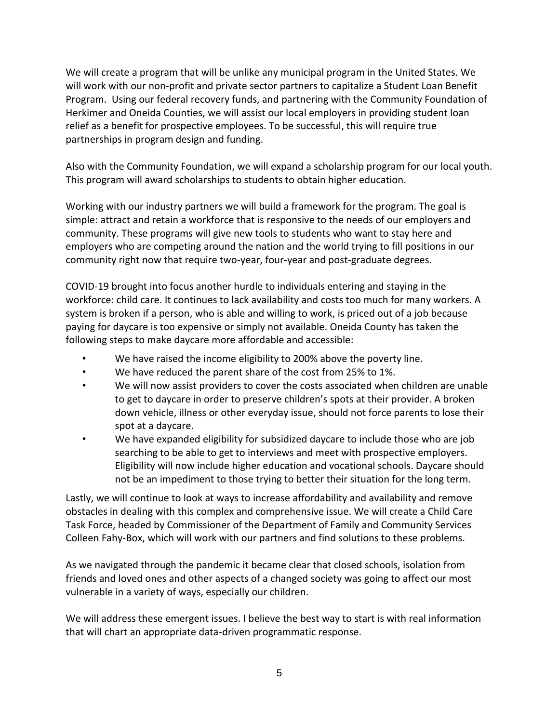We will create a program that will be unlike any municipal program in the United States. We will work with our non-profit and private sector partners to capitalize a Student Loan Benefit Program. Using our federal recovery funds, and partnering with the Community Foundation of Herkimer and Oneida Counties, we will assist our local employers in providing student loan relief as a benefit for prospective employees. To be successful, this will require true partnerships in program design and funding.

Also with the Community Foundation, we will expand a scholarship program for our local youth. This program will award scholarships to students to obtain higher education.

Working with our industry partners we will build a framework for the program. The goal is simple: attract and retain a workforce that is responsive to the needs of our employers and community. These programs will give new tools to students who want to stay here and employers who are competing around the nation and the world trying to fill positions in our community right now that require two-year, four-year and post-graduate degrees.

COVID-19 brought into focus another hurdle to individuals entering and staying in the workforce: child care. It continues to lack availability and costs too much for many workers. A system is broken if a person, who is able and willing to work, is priced out of a job because paying for daycare is too expensive or simply not available. Oneida County has taken the following steps to make daycare more affordable and accessible:

- We have raised the income eligibility to 200% above the poverty line.
- We have reduced the parent share of the cost from 25% to 1%.
- We will now assist providers to cover the costs associated when children are unable to get to daycare in order to preserve children's spots at their provider. A broken down vehicle, illness or other everyday issue, should not force parents to lose their spot at a daycare.
- We have expanded eligibility for subsidized daycare to include those who are job searching to be able to get to interviews and meet with prospective employers. Eligibility will now include higher education and vocational schools. Daycare should not be an impediment to those trying to better their situation for the long term.

Lastly, we will continue to look at ways to increase affordability and availability and remove obstacles in dealing with this complex and comprehensive issue. We will create a Child Care Task Force, headed by Commissioner of the Department of Family and Community Services Colleen Fahy-Box, which will work with our partners and find solutions to these problems.

As we navigated through the pandemic it became clear that closed schools, isolation from friends and loved ones and other aspects of a changed society was going to affect our most vulnerable in a variety of ways, especially our children.

We will address these emergent issues. I believe the best way to start is with real information that will chart an appropriate data-driven programmatic response.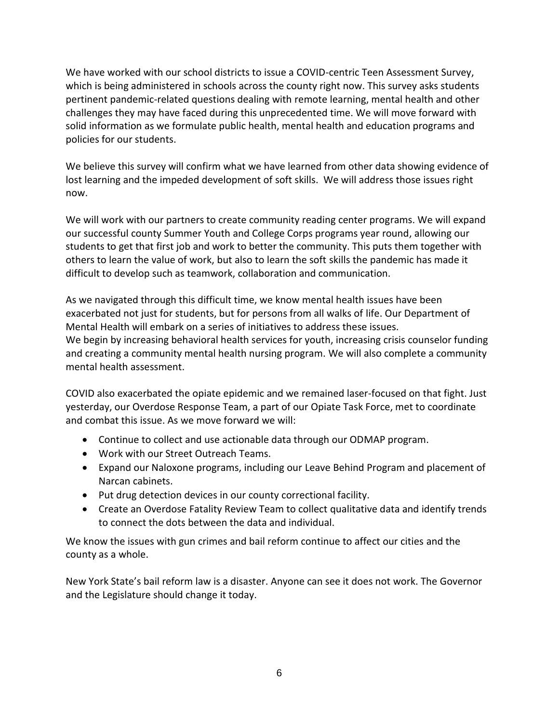We have worked with our school districts to issue a COVID-centric Teen Assessment Survey, which is being administered in schools across the county right now. This survey asks students pertinent pandemic-related questions dealing with remote learning, mental health and other challenges they may have faced during this unprecedented time. We will move forward with solid information as we formulate public health, mental health and education programs and policies for our students.

We believe this survey will confirm what we have learned from other data showing evidence of lost learning and the impeded development of soft skills. We will address those issues right now.

We will work with our partners to create community reading center programs. We will expand our successful county Summer Youth and College Corps programs year round, allowing our students to get that first job and work to better the community. This puts them together with others to learn the value of work, but also to learn the soft skills the pandemic has made it difficult to develop such as teamwork, collaboration and communication.

As we navigated through this difficult time, we know mental health issues have been exacerbated not just for students, but for persons from all walks of life. Our Department of Mental Health will embark on a series of initiatives to address these issues. We begin by increasing behavioral health services for youth, increasing crisis counselor funding and creating a community mental health nursing program. We will also complete a community mental health assessment.

COVID also exacerbated the opiate epidemic and we remained laser-focused on that fight. Just yesterday, our Overdose Response Team, a part of our Opiate Task Force, met to coordinate and combat this issue. As we move forward we will:

- Continue to collect and use actionable data through our ODMAP program.
- Work with our Street Outreach Teams.
- Expand our Naloxone programs, including our Leave Behind Program and placement of Narcan cabinets.
- Put drug detection devices in our county correctional facility.
- Create an Overdose Fatality Review Team to collect qualitative data and identify trends to connect the dots between the data and individual.

We know the issues with gun crimes and bail reform continue to affect our cities and the county as a whole.

New York State's bail reform law is a disaster. Anyone can see it does not work. The Governor and the Legislature should change it today.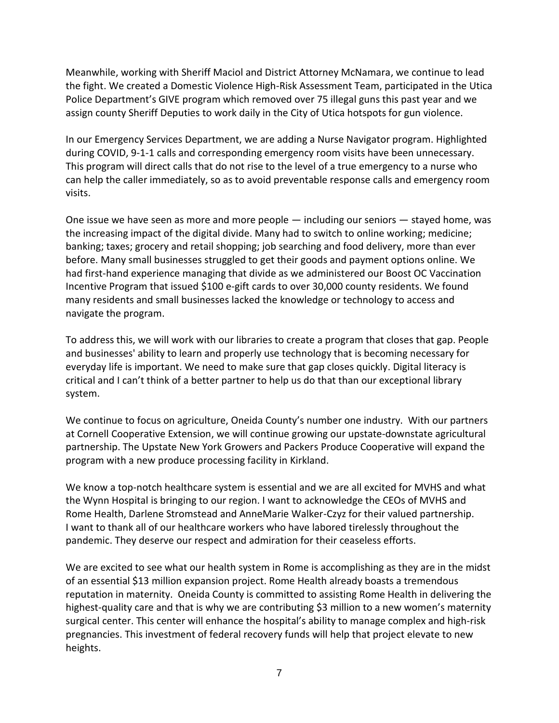Meanwhile, working with Sheriff Maciol and District Attorney McNamara, we continue to lead the fight. We created a Domestic Violence High-Risk Assessment Team, participated in the Utica Police Department's GIVE program which removed over 75 illegal guns this past year and we assign county Sheriff Deputies to work daily in the City of Utica hotspots for gun violence.

In our Emergency Services Department, we are adding a Nurse Navigator program. Highlighted during COVID, 9-1-1 calls and corresponding emergency room visits have been unnecessary. This program will direct calls that do not rise to the level of a true emergency to a nurse who can help the caller immediately, so as to avoid preventable response calls and emergency room visits.

One issue we have seen as more and more people — including our seniors — stayed home, was the increasing impact of the digital divide. Many had to switch to online working; medicine; banking; taxes; grocery and retail shopping; job searching and food delivery, more than ever before. Many small businesses struggled to get their goods and payment options online. We had first-hand experience managing that divide as we administered our Boost OC Vaccination Incentive Program that issued \$100 e-gift cards to over 30,000 county residents. We found many residents and small businesses lacked the knowledge or technology to access and navigate the program.

To address this, we will work with our libraries to create a program that closes that gap. People and businesses' ability to learn and properly use technology that is becoming necessary for everyday life is important. We need to make sure that gap closes quickly. Digital literacy is critical and I can't think of a better partner to help us do that than our exceptional library system.

We continue to focus on agriculture, Oneida County's number one industry. With our partners at Cornell Cooperative Extension, we will continue growing our upstate-downstate agricultural partnership. The Upstate New York Growers and Packers Produce Cooperative will expand the program with a new produce processing facility in Kirkland.

We know a top-notch healthcare system is essential and we are all excited for MVHS and what the Wynn Hospital is bringing to our region. I want to acknowledge the CEOs of MVHS and Rome Health, Darlene Stromstead and AnneMarie Walker-Czyz for their valued partnership. I want to thank all of our healthcare workers who have labored tirelessly throughout the pandemic. They deserve our respect and admiration for their ceaseless efforts.

We are excited to see what our health system in Rome is accomplishing as they are in the midst of an essential \$13 million expansion project. Rome Health already boasts a tremendous reputation in maternity. Oneida County is committed to assisting Rome Health in delivering the highest-quality care and that is why we are contributing \$3 million to a new women's maternity surgical center. This center will enhance the hospital's ability to manage complex and high-risk pregnancies. This investment of federal recovery funds will help that project elevate to new heights.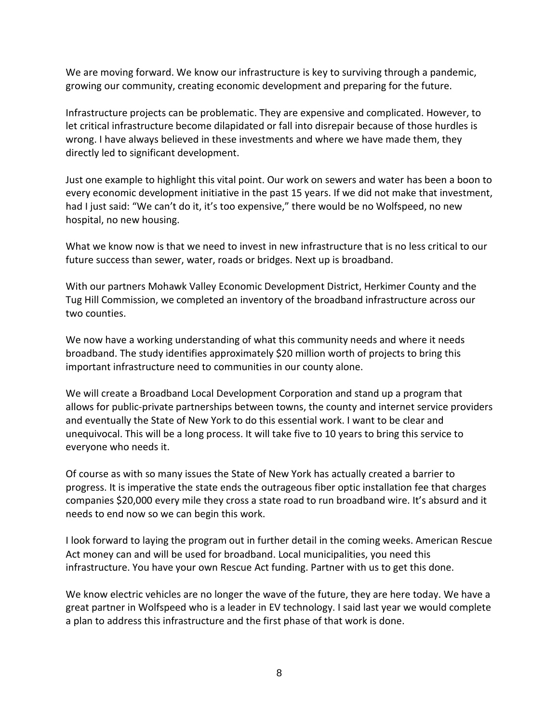We are moving forward. We know our infrastructure is key to surviving through a pandemic, growing our community, creating economic development and preparing for the future.

Infrastructure projects can be problematic. They are expensive and complicated. However, to let critical infrastructure become dilapidated or fall into disrepair because of those hurdles is wrong. I have always believed in these investments and where we have made them, they directly led to significant development.

Just one example to highlight this vital point. Our work on sewers and water has been a boon to every economic development initiative in the past 15 years. If we did not make that investment, had I just said: "We can't do it, it's too expensive," there would be no Wolfspeed, no new hospital, no new housing.

What we know now is that we need to invest in new infrastructure that is no less critical to our future success than sewer, water, roads or bridges. Next up is broadband.

With our partners Mohawk Valley Economic Development District, Herkimer County and the Tug Hill Commission, we completed an inventory of the broadband infrastructure across our two counties.

We now have a working understanding of what this community needs and where it needs broadband. The study identifies approximately \$20 million worth of projects to bring this important infrastructure need to communities in our county alone.

We will create a Broadband Local Development Corporation and stand up a program that allows for public-private partnerships between towns, the county and internet service providers and eventually the State of New York to do this essential work. I want to be clear and unequivocal. This will be a long process. It will take five to 10 years to bring this service to everyone who needs it.

Of course as with so many issues the State of New York has actually created a barrier to progress. It is imperative the state ends the outrageous fiber optic installation fee that charges companies \$20,000 every mile they cross a state road to run broadband wire. It's absurd and it needs to end now so we can begin this work.

I look forward to laying the program out in further detail in the coming weeks. American Rescue Act money can and will be used for broadband. Local municipalities, you need this infrastructure. You have your own Rescue Act funding. Partner with us to get this done.

We know electric vehicles are no longer the wave of the future, they are here today. We have a great partner in Wolfspeed who is a leader in EV technology. I said last year we would complete a plan to address this infrastructure and the first phase of that work is done.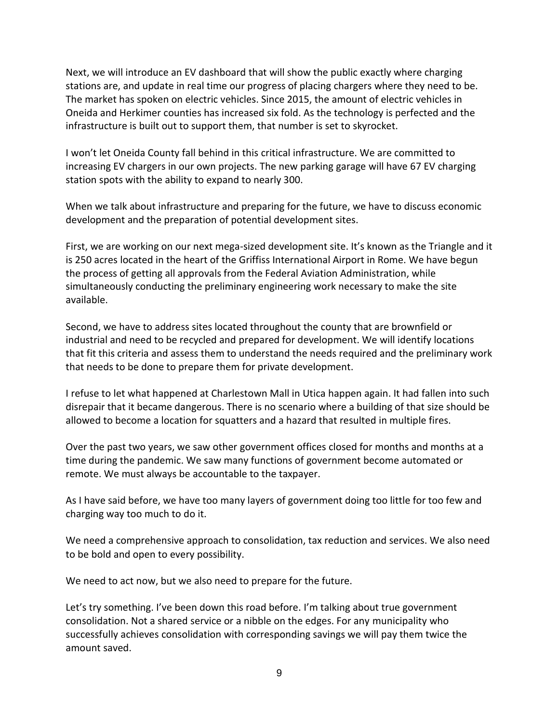Next, we will introduce an EV dashboard that will show the public exactly where charging stations are, and update in real time our progress of placing chargers where they need to be. The market has spoken on electric vehicles. Since 2015, the amount of electric vehicles in Oneida and Herkimer counties has increased six fold. As the technology is perfected and the infrastructure is built out to support them, that number is set to skyrocket.

I won't let Oneida County fall behind in this critical infrastructure. We are committed to increasing EV chargers in our own projects. The new parking garage will have 67 EV charging station spots with the ability to expand to nearly 300.

When we talk about infrastructure and preparing for the future, we have to discuss economic development and the preparation of potential development sites.

First, we are working on our next mega-sized development site. It's known as the Triangle and it is 250 acres located in the heart of the Griffiss International Airport in Rome. We have begun the process of getting all approvals from the Federal Aviation Administration, while simultaneously conducting the preliminary engineering work necessary to make the site available.

Second, we have to address sites located throughout the county that are brownfield or industrial and need to be recycled and prepared for development. We will identify locations that fit this criteria and assess them to understand the needs required and the preliminary work that needs to be done to prepare them for private development.

I refuse to let what happened at Charlestown Mall in Utica happen again. It had fallen into such disrepair that it became dangerous. There is no scenario where a building of that size should be allowed to become a location for squatters and a hazard that resulted in multiple fires.

Over the past two years, we saw other government offices closed for months and months at a time during the pandemic. We saw many functions of government become automated or remote. We must always be accountable to the taxpayer.

As I have said before, we have too many layers of government doing too little for too few and charging way too much to do it.

We need a comprehensive approach to consolidation, tax reduction and services. We also need to be bold and open to every possibility.

We need to act now, but we also need to prepare for the future.

Let's try something. I've been down this road before. I'm talking about true government consolidation. Not a shared service or a nibble on the edges. For any municipality who successfully achieves consolidation with corresponding savings we will pay them twice the amount saved.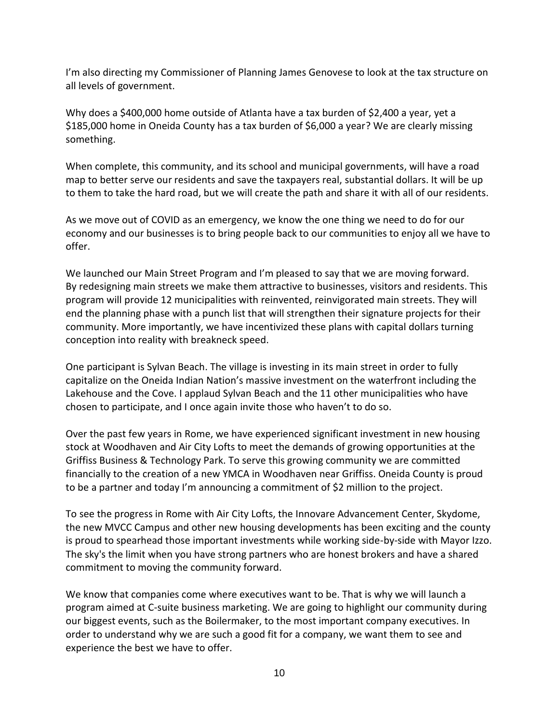I'm also directing my Commissioner of Planning James Genovese to look at the tax structure on all levels of government.

Why does a \$400,000 home outside of Atlanta have a tax burden of \$2,400 a year, yet a \$185,000 home in Oneida County has a tax burden of \$6,000 a year? We are clearly missing something.

When complete, this community, and its school and municipal governments, will have a road map to better serve our residents and save the taxpayers real, substantial dollars. It will be up to them to take the hard road, but we will create the path and share it with all of our residents.

As we move out of COVID as an emergency, we know the one thing we need to do for our economy and our businesses is to bring people back to our communities to enjoy all we have to offer.

We launched our Main Street Program and I'm pleased to say that we are moving forward. By redesigning main streets we make them attractive to businesses, visitors and residents. This program will provide 12 municipalities with reinvented, reinvigorated main streets. They will end the planning phase with a punch list that will strengthen their signature projects for their community. More importantly, we have incentivized these plans with capital dollars turning conception into reality with breakneck speed.

One participant is Sylvan Beach. The village is investing in its main street in order to fully capitalize on the Oneida Indian Nation's massive investment on the waterfront including the Lakehouse and the Cove. I applaud Sylvan Beach and the 11 other municipalities who have chosen to participate, and I once again invite those who haven't to do so.

Over the past few years in Rome, we have experienced significant investment in new housing stock at Woodhaven and Air City Lofts to meet the demands of growing opportunities at the Griffiss Business & Technology Park. To serve this growing community we are committed financially to the creation of a new YMCA in Woodhaven near Griffiss. Oneida County is proud to be a partner and today I'm announcing a commitment of \$2 million to the project.

To see the progress in Rome with Air City Lofts, the Innovare Advancement Center, Skydome, the new MVCC Campus and other new housing developments has been exciting and the county is proud to spearhead those important investments while working side-by-side with Mayor Izzo. The sky's the limit when you have strong partners who are honest brokers and have a shared commitment to moving the community forward.

We know that companies come where executives want to be. That is why we will launch a program aimed at C-suite business marketing. We are going to highlight our community during our biggest events, such as the Boilermaker, to the most important company executives. In order to understand why we are such a good fit for a company, we want them to see and experience the best we have to offer.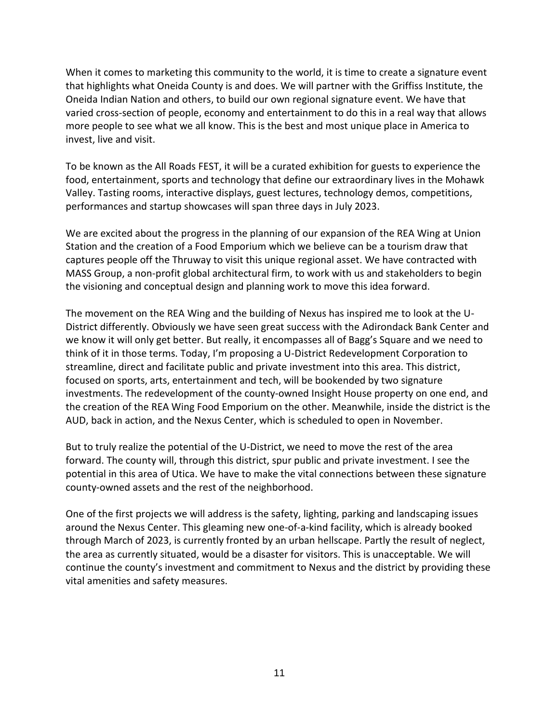When it comes to marketing this community to the world, it is time to create a signature event that highlights what Oneida County is and does. We will partner with the Griffiss Institute, the Oneida Indian Nation and others, to build our own regional signature event. We have that varied cross-section of people, economy and entertainment to do this in a real way that allows more people to see what we all know. This is the best and most unique place in America to invest, live and visit.

To be known as the All Roads FEST, it will be a curated exhibition for guests to experience the food, entertainment, sports and technology that define our extraordinary lives in the Mohawk Valley. Tasting rooms, interactive displays, guest lectures, technology demos, competitions, performances and startup showcases will span three days in July 2023.

We are excited about the progress in the planning of our expansion of the REA Wing at Union Station and the creation of a Food Emporium which we believe can be a tourism draw that captures people off the Thruway to visit this unique regional asset. We have contracted with MASS Group, a non-profit global architectural firm, to work with us and stakeholders to begin the visioning and conceptual design and planning work to move this idea forward.

The movement on the REA Wing and the building of Nexus has inspired me to look at the U-District differently. Obviously we have seen great success with the Adirondack Bank Center and we know it will only get better. But really, it encompasses all of Bagg's Square and we need to think of it in those terms. Today, I'm proposing a U-District Redevelopment Corporation to streamline, direct and facilitate public and private investment into this area. This district, focused on sports, arts, entertainment and tech, will be bookended by two signature investments. The redevelopment of the county-owned Insight House property on one end, and the creation of the REA Wing Food Emporium on the other. Meanwhile, inside the district is the AUD, back in action, and the Nexus Center, which is scheduled to open in November.

But to truly realize the potential of the U-District, we need to move the rest of the area forward. The county will, through this district, spur public and private investment. I see the potential in this area of Utica. We have to make the vital connections between these signature county-owned assets and the rest of the neighborhood.

One of the first projects we will address is the safety, lighting, parking and landscaping issues around the Nexus Center. This gleaming new one-of-a-kind facility, which is already booked through March of 2023, is currently fronted by an urban hellscape. Partly the result of neglect, the area as currently situated, would be a disaster for visitors. This is unacceptable. We will continue the county's investment and commitment to Nexus and the district by providing these vital amenities and safety measures.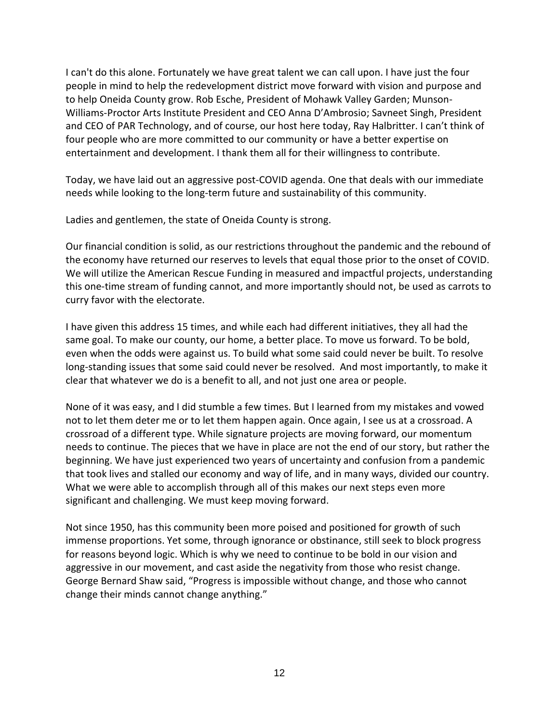I can't do this alone. Fortunately we have great talent we can call upon. I have just the four people in mind to help the redevelopment district move forward with vision and purpose and to help Oneida County grow. Rob Esche, President of Mohawk Valley Garden; Munson-Williams-Proctor Arts Institute President and CEO Anna D'Ambrosio; Savneet Singh, President and CEO of PAR Technology, and of course, our host here today, Ray Halbritter. I can't think of four people who are more committed to our community or have a better expertise on entertainment and development. I thank them all for their willingness to contribute.

Today, we have laid out an aggressive post-COVID agenda. One that deals with our immediate needs while looking to the long-term future and sustainability of this community.

Ladies and gentlemen, the state of Oneida County is strong.

Our financial condition is solid, as our restrictions throughout the pandemic and the rebound of the economy have returned our reserves to levels that equal those prior to the onset of COVID. We will utilize the American Rescue Funding in measured and impactful projects, understanding this one-time stream of funding cannot, and more importantly should not, be used as carrots to curry favor with the electorate.

I have given this address 15 times, and while each had different initiatives, they all had the same goal. To make our county, our home, a better place. To move us forward. To be bold, even when the odds were against us. To build what some said could never be built. To resolve long-standing issues that some said could never be resolved. And most importantly, to make it clear that whatever we do is a benefit to all, and not just one area or people.

None of it was easy, and I did stumble a few times. But I learned from my mistakes and vowed not to let them deter me or to let them happen again. Once again, I see us at a crossroad. A crossroad of a different type. While signature projects are moving forward, our momentum needs to continue. The pieces that we have in place are not the end of our story, but rather the beginning. We have just experienced two years of uncertainty and confusion from a pandemic that took lives and stalled our economy and way of life, and in many ways, divided our country. What we were able to accomplish through all of this makes our next steps even more significant and challenging. We must keep moving forward.

Not since 1950, has this community been more poised and positioned for growth of such immense proportions. Yet some, through ignorance or obstinance, still seek to block progress for reasons beyond logic. Which is why we need to continue to be bold in our vision and aggressive in our movement, and cast aside the negativity from those who resist change. George Bernard Shaw said, "Progress is impossible without change, and those who cannot change their minds cannot change anything."